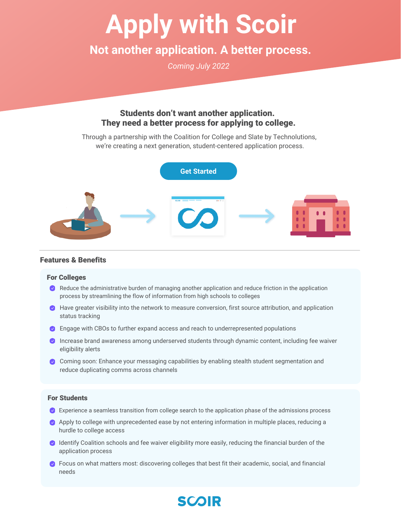# **Apply with Scoir**

# **Not another application. A better process.**

*Coming July 2022*

## Students don't want another application. They need a better process for applying to college.

Through a partnership with the Coalition for College and Slate by Technolutions, we're creating a next generation, student-centered application process.



#### Features & Benefits

#### For Colleges

- Reduce the administrative burden of managing another application and reduce friction in the application process by streamlining the flow of information from high schools to colleges
- $\bullet$  Have greater visibility into the network to measure conversion, first source attribution, and application status tracking
- **O** Engage with CBOs to further expand access and reach to underrepresented populations
- **O** Increase brand awareness among underserved students through dynamic content, including fee waiver eligibility alerts
- Coming soon: Enhance your messaging capabilities by enabling stealth student segmentation and reduce duplicating comms across channels

#### For Students

- Experience a seamless transition from college search to the application phase of the admissions process
- Apply to college with unprecedented ease by not entering information in multiple places, reducing a hurdle to college access
- **IDENTIFY Coalition schools and fee waiver eligibility more easily, reducing the financial burden of the** application process
- **O** Focus on what matters most: discovering colleges that best fit their academic, social, and financial needs